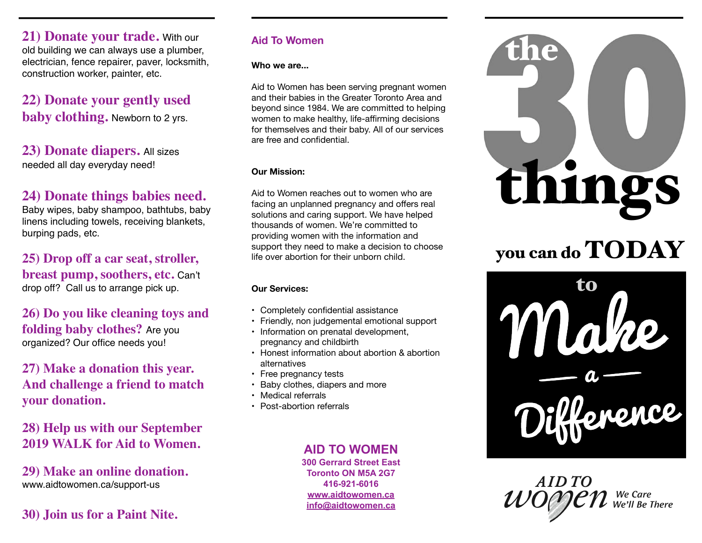**21) Donate your trade.** With our old building we can always use a plumber, electrician, fence repairer, paver, locksmith, construction worker, painter, etc.

## **22) Donate your gently used baby clothing.** Newborn to 2 yrs.

**23) Donate diapers.** All sizes needed all day everyday need!

### **24) Donate things babies need.**

Baby wipes, baby shampoo, bathtubs, baby linens including towels, receiving blankets, burping pads, etc.

**25) Drop off a car seat, stroller, breast pump, soothers, etc.** Can't drop off? Call us to arrange pick up.

**26) Do you like cleaning toys and folding baby clothes?** Are you organized? Our office needs you!

**27) Make a donation this year. And challenge a friend to match your donation.**

**28) Help us with our September 2019 WALK for Aid to Women.**

**29) Make an online donation.**  www.aidtowomen.ca/support-us

### **30) Join us for a Paint Nite.**

### **Aid To Women**

**Who we are...** 

Aid to Women has been serving pregnant women and their babies in the Greater Toronto Area and beyond since 1984. We are committed to helping women to make healthy, life-affirming decisions for themselves and their baby. All of our services are free and confidential.

#### **Our Mission:**

Aid to Women reaches out to women who are facing an unplanned pregnancy and offers real solutions and caring support. We have helped thousands of women. We're committed to providing women with the information and support they need to make a decision to choose life over abortion for their unborn child.

### **Our Services:**

- Completely confidential assistance
- Friendly, non judgemental emotional support
- Information on prenatal development, pregnancy and childbirth
- Honest information about abortion & abortion alternatives
- Free pregnancy tests
- Baby clothes, diapers and more
- Medical referrals
- Post-abortion referrals

### **AID TO WOMEN**

**300 Gerrard Street East Toronto ON M5A 2G7 416-921-6016 [www.aidtowomen.ca](http://www.aidtowomen.ca) [info@aidtowomen.ca](mailto:info@aidtowomen.ca)**



# you can do TODAY